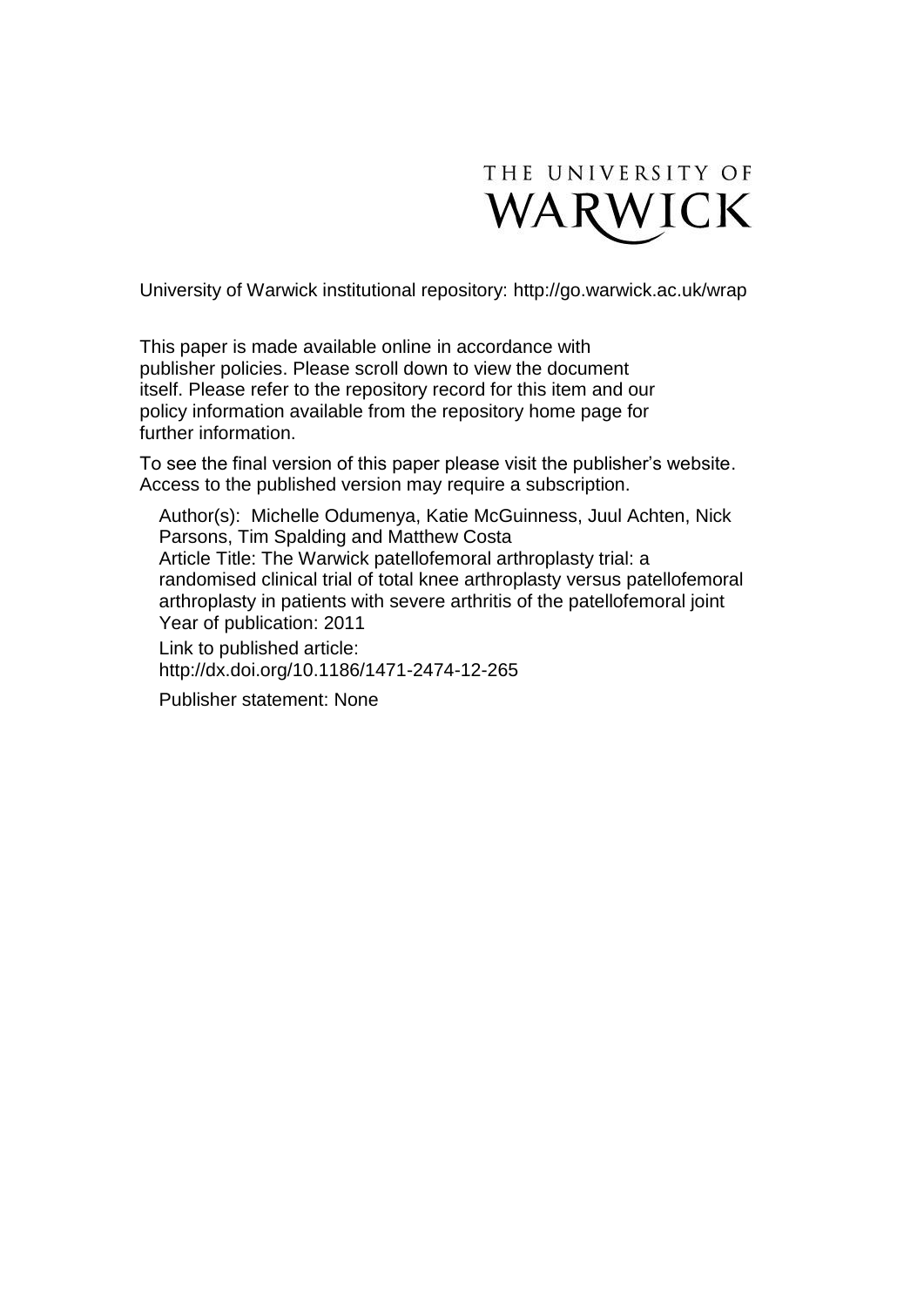

University of Warwick institutional repository:<http://go.warwick.ac.uk/wrap>

This paper is made available online in accordance with publisher policies. Please scroll down to view the document itself. Please refer to the repository record for this item and our policy information available from the repository home page for further information.

To see the final version of this paper please visit the publisher's website. Access to the published version may require a subscription.

Author(s): Michelle Odumenya, Katie McGuinness, Juul Achten, Nick Parsons, Tim Spalding and Matthew Costa Article Title: The Warwick patellofemoral arthroplasty trial: a randomised clinical trial of total knee arthroplasty versus patellofemoral arthroplasty in patients with severe arthritis of the patellofemoral joint Year of publication: 2011

Link to published article: http://dx.doi.org/10.1186/1471-2474-12-265

Publisher statement: None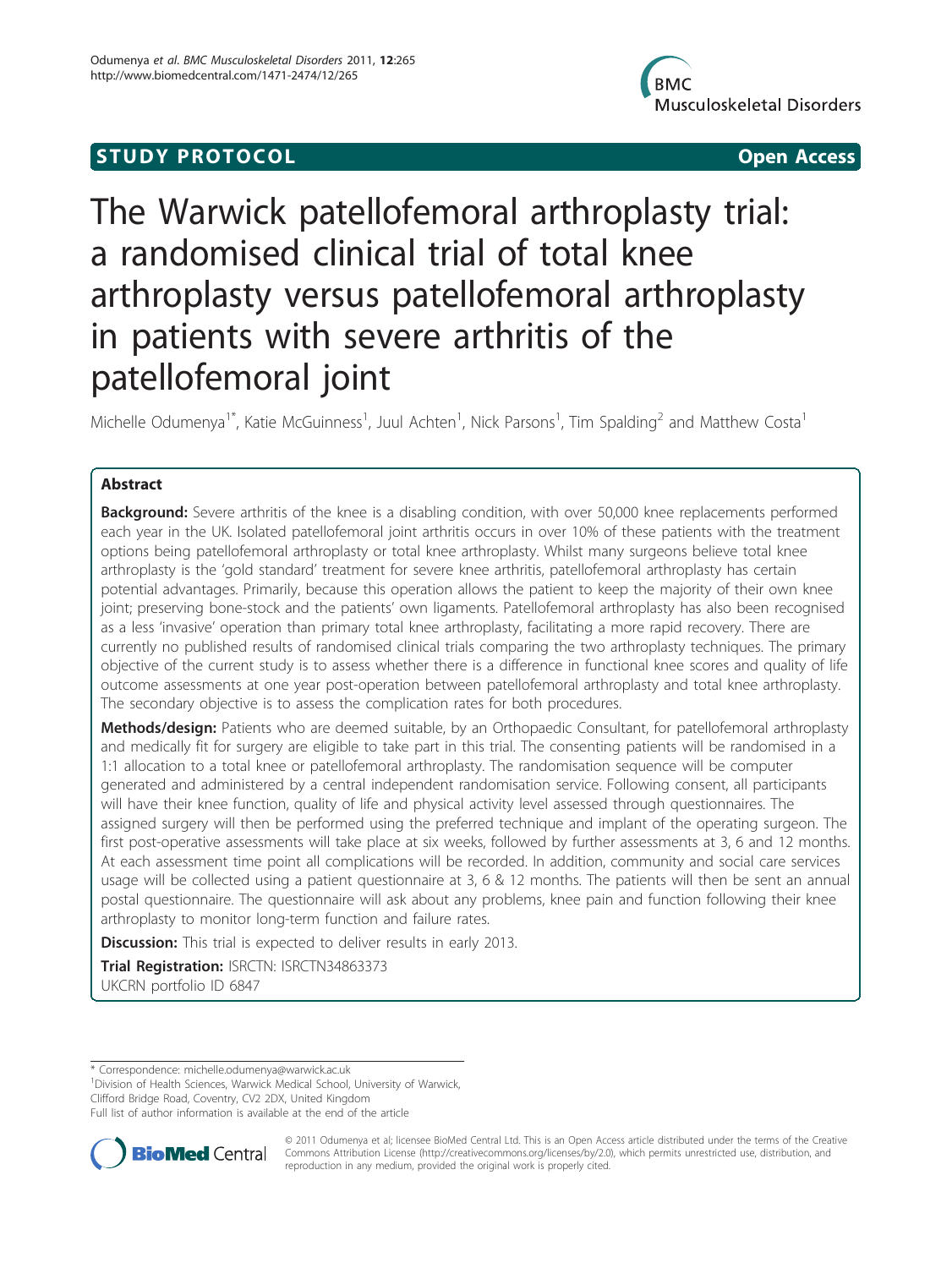## **STUDY PROTOCOL** And the state of the state of the state of the state of the state of the state of the state of the state of the state of the state of the state of the state of the state of the state of the state of the st



# The Warwick patellofemoral arthroplasty trial: a randomised clinical trial of total knee arthroplasty versus patellofemoral arthroplasty in patients with severe arthritis of the patellofemoral joint

Michelle Odumenya<sup>1\*</sup>, Katie McGuinness<sup>1</sup>, Juul Achten<sup>1</sup>, Nick Parsons<sup>1</sup>, Tim Spalding<sup>2</sup> and Matthew Costa<sup>1</sup>

## Abstract

Background: Severe arthritis of the knee is a disabling condition, with over 50,000 knee replacements performed each year in the UK. Isolated patellofemoral joint arthritis occurs in over 10% of these patients with the treatment options being patellofemoral arthroplasty or total knee arthroplasty. Whilst many surgeons believe total knee arthroplasty is the 'gold standard' treatment for severe knee arthritis, patellofemoral arthroplasty has certain potential advantages. Primarily, because this operation allows the patient to keep the majority of their own knee joint; preserving bone-stock and the patients' own ligaments. Patellofemoral arthroplasty has also been recognised as a less 'invasive' operation than primary total knee arthroplasty, facilitating a more rapid recovery. There are currently no published results of randomised clinical trials comparing the two arthroplasty techniques. The primary objective of the current study is to assess whether there is a difference in functional knee scores and quality of life outcome assessments at one year post-operation between patellofemoral arthroplasty and total knee arthroplasty. The secondary objective is to assess the complication rates for both procedures.

Methods/design: Patients who are deemed suitable, by an Orthopaedic Consultant, for patellofemoral arthroplasty and medically fit for surgery are eligible to take part in this trial. The consenting patients will be randomised in a 1:1 allocation to a total knee or patellofemoral arthroplasty. The randomisation sequence will be computer generated and administered by a central independent randomisation service. Following consent, all participants will have their knee function, quality of life and physical activity level assessed through questionnaires. The assigned surgery will then be performed using the preferred technique and implant of the operating surgeon. The first post-operative assessments will take place at six weeks, followed by further assessments at 3, 6 and 12 months. At each assessment time point all complications will be recorded. In addition, community and social care services usage will be collected using a patient questionnaire at 3, 6 & 12 months. The patients will then be sent an annual postal questionnaire. The questionnaire will ask about any problems, knee pain and function following their knee arthroplasty to monitor long-term function and failure rates.

**Discussion:** This trial is expected to deliver results in early 2013.

Trial Registration: ISRCTN: [ISRCTN34863373](http://www.controlled-trials.com/ISRCTN34863373) UKCRN portfolio ID 6847

\* Correspondence: [michelle.odumenya@warwick.ac.uk](mailto:michelle.odumenya@warwick.ac.uk)

<sup>1</sup> Division of Health Sciences, Warwick Medical School, University of Warwick, Clifford Bridge Road, Coventry, CV2 2DX, United Kingdom

Full list of author information is available at the end of the article



© 2011 Odumenya et al; licensee BioMed Central Ltd. This is an Open Access article distributed under the terms of the Creative Commons Attribution License [\(http://creativecommons.org/licenses/by/2.0](http://creativecommons.org/licenses/by/2.0)), which permits unrestricted use, distribution, and reproduction in any medium, provided the original work is properly cited.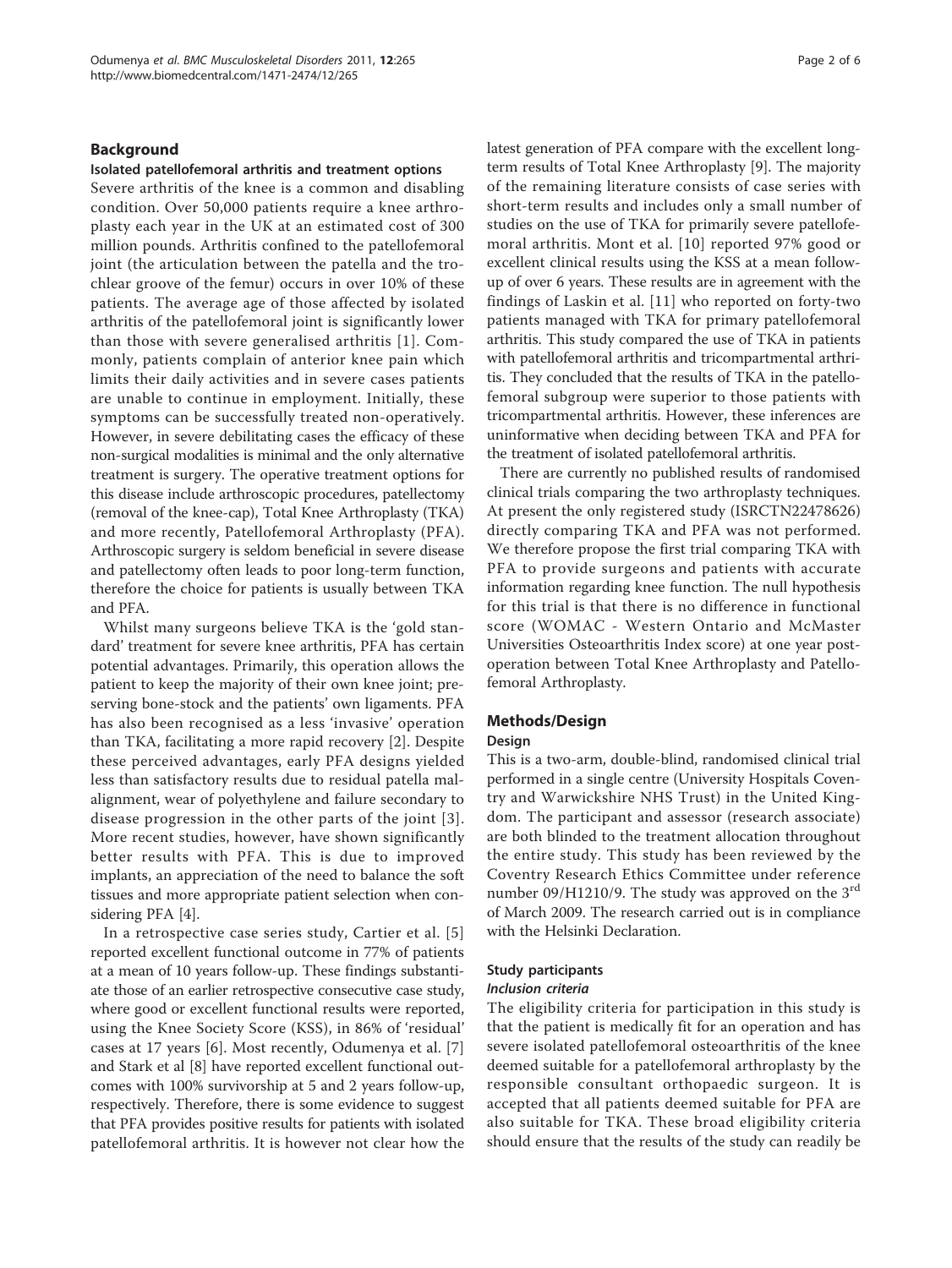#### Background

## Isolated patellofemoral arthritis and treatment options

Severe arthritis of the knee is a common and disabling condition. Over 50,000 patients require a knee arthroplasty each year in the UK at an estimated cost of 300 million pounds. Arthritis confined to the patellofemoral joint (the articulation between the patella and the trochlear groove of the femur) occurs in over 10% of these patients. The average age of those affected by isolated arthritis of the patellofemoral joint is significantly lower than those with severe generalised arthritis [[1](#page-6-0)]. Commonly, patients complain of anterior knee pain which limits their daily activities and in severe cases patients are unable to continue in employment. Initially, these symptoms can be successfully treated non-operatively. However, in severe debilitating cases the efficacy of these non-surgical modalities is minimal and the only alternative treatment is surgery. The operative treatment options for this disease include arthroscopic procedures, patellectomy (removal of the knee-cap), Total Knee Arthroplasty (TKA) and more recently, Patellofemoral Arthroplasty (PFA). Arthroscopic surgery is seldom beneficial in severe disease and patellectomy often leads to poor long-term function, therefore the choice for patients is usually between TKA and PFA.

Whilst many surgeons believe TKA is the 'gold standard' treatment for severe knee arthritis, PFA has certain potential advantages. Primarily, this operation allows the patient to keep the majority of their own knee joint; preserving bone-stock and the patients' own ligaments. PFA has also been recognised as a less 'invasive' operation than TKA, facilitating a more rapid recovery [\[2](#page-6-0)]. Despite these perceived advantages, early PFA designs yielded less than satisfactory results due to residual patella malalignment, wear of polyethylene and failure secondary to disease progression in the other parts of the joint [[3\]](#page-6-0). More recent studies, however, have shown significantly better results with PFA. This is due to improved implants, an appreciation of the need to balance the soft tissues and more appropriate patient selection when considering PFA [[4\]](#page-6-0).

In a retrospective case series study, Cartier et al. [[5](#page-6-0)] reported excellent functional outcome in 77% of patients at a mean of 10 years follow-up. These findings substantiate those of an earlier retrospective consecutive case study, where good or excellent functional results were reported, using the Knee Society Score (KSS), in 86% of 'residual' cases at 17 years [[6\]](#page-6-0). Most recently, Odumenya et al. [\[7](#page-6-0)] and Stark et al [[8](#page-6-0)] have reported excellent functional outcomes with 100% survivorship at 5 and 2 years follow-up, respectively. Therefore, there is some evidence to suggest that PFA provides positive results for patients with isolated patellofemoral arthritis. It is however not clear how the latest generation of PFA compare with the excellent longterm results of Total Knee Arthroplasty [[9\]](#page-6-0). The majority of the remaining literature consists of case series with short-term results and includes only a small number of studies on the use of TKA for primarily severe patellofemoral arthritis. Mont et al. [[10](#page-6-0)] reported 97% good or excellent clinical results using the KSS at a mean followup of over 6 years. These results are in agreement with the findings of Laskin et al. [[11\]](#page-6-0) who reported on forty-two patients managed with TKA for primary patellofemoral arthritis. This study compared the use of TKA in patients with patellofemoral arthritis and tricompartmental arthritis. They concluded that the results of TKA in the patellofemoral subgroup were superior to those patients with tricompartmental arthritis. However, these inferences are uninformative when deciding between TKA and PFA for the treatment of isolated patellofemoral arthritis.

There are currently no published results of randomised clinical trials comparing the two arthroplasty techniques. At present the only registered study (ISRCTN22478626) directly comparing TKA and PFA was not performed. We therefore propose the first trial comparing TKA with PFA to provide surgeons and patients with accurate information regarding knee function. The null hypothesis for this trial is that there is no difference in functional score (WOMAC - Western Ontario and McMaster Universities Osteoarthritis Index score) at one year postoperation between Total Knee Arthroplasty and Patellofemoral Arthroplasty.

## Methods/Design

#### Design

This is a two-arm, double-blind, randomised clinical trial performed in a single centre (University Hospitals Coventry and Warwickshire NHS Trust) in the United Kingdom. The participant and assessor (research associate) are both blinded to the treatment allocation throughout the entire study. This study has been reviewed by the Coventry Research Ethics Committee under reference number 09/H1210/9. The study was approved on the 3<sup>rd</sup> of March 2009. The research carried out is in compliance with the Helsinki Declaration.

#### Study participants

## Inclusion criteria

The eligibility criteria for participation in this study is that the patient is medically fit for an operation and has severe isolated patellofemoral osteoarthritis of the knee deemed suitable for a patellofemoral arthroplasty by the responsible consultant orthopaedic surgeon. It is accepted that all patients deemed suitable for PFA are also suitable for TKA. These broad eligibility criteria should ensure that the results of the study can readily be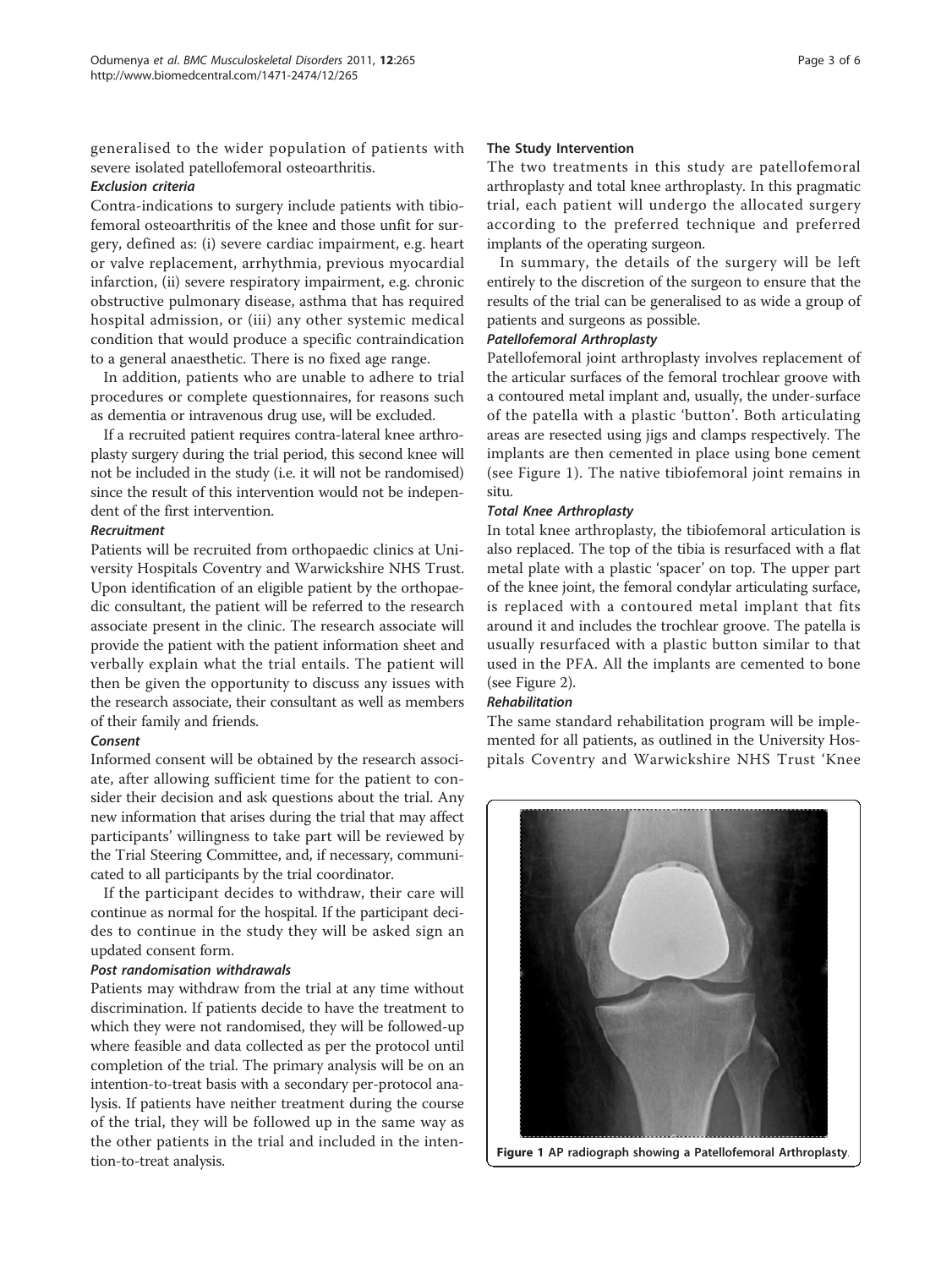generalised to the wider population of patients with severe isolated patellofemoral osteoarthritis.

## Exclusion criteria

Contra-indications to surgery include patients with tibiofemoral osteoarthritis of the knee and those unfit for surgery, defined as: (i) severe cardiac impairment, e.g. heart or valve replacement, arrhythmia, previous myocardial infarction, (ii) severe respiratory impairment, e.g. chronic obstructive pulmonary disease, asthma that has required hospital admission, or (iii) any other systemic medical condition that would produce a specific contraindication to a general anaesthetic. There is no fixed age range.

In addition, patients who are unable to adhere to trial procedures or complete questionnaires, for reasons such as dementia or intravenous drug use, will be excluded.

If a recruited patient requires contra-lateral knee arthroplasty surgery during the trial period, this second knee will not be included in the study (i.e. it will not be randomised) since the result of this intervention would not be independent of the first intervention.

## Recruitment

Patients will be recruited from orthopaedic clinics at University Hospitals Coventry and Warwickshire NHS Trust. Upon identification of an eligible patient by the orthopaedic consultant, the patient will be referred to the research associate present in the clinic. The research associate will provide the patient with the patient information sheet and verbally explain what the trial entails. The patient will then be given the opportunity to discuss any issues with the research associate, their consultant as well as members of their family and friends.

## Consent

Informed consent will be obtained by the research associate, after allowing sufficient time for the patient to consider their decision and ask questions about the trial. Any new information that arises during the trial that may affect participants' willingness to take part will be reviewed by the Trial Steering Committee, and, if necessary, communicated to all participants by the trial coordinator.

If the participant decides to withdraw, their care will continue as normal for the hospital. If the participant decides to continue in the study they will be asked sign an updated consent form.

## Post randomisation withdrawals

Patients may withdraw from the trial at any time without discrimination. If patients decide to have the treatment to which they were not randomised, they will be followed-up where feasible and data collected as per the protocol until completion of the trial. The primary analysis will be on an intention-to-treat basis with a secondary per-protocol analysis. If patients have neither treatment during the course of the trial, they will be followed up in the same way as the other patients in the trial and included in the intention-to-treat analysis.

#### The Study Intervention

The two treatments in this study are patellofemoral arthroplasty and total knee arthroplasty. In this pragmatic trial, each patient will undergo the allocated surgery according to the preferred technique and preferred implants of the operating surgeon.

In summary, the details of the surgery will be left entirely to the discretion of the surgeon to ensure that the results of the trial can be generalised to as wide a group of patients and surgeons as possible.

## Patellofemoral Arthroplasty

Patellofemoral joint arthroplasty involves replacement of the articular surfaces of the femoral trochlear groove with a contoured metal implant and, usually, the under-surface of the patella with a plastic 'button'. Both articulating areas are resected using jigs and clamps respectively. The implants are then cemented in place using bone cement (see Figure 1). The native tibiofemoral joint remains in situ.

## Total Knee Arthroplasty

In total knee arthroplasty, the tibiofemoral articulation is also replaced. The top of the tibia is resurfaced with a flat metal plate with a plastic 'spacer' on top. The upper part of the knee joint, the femoral condylar articulating surface, is replaced with a contoured metal implant that fits around it and includes the trochlear groove. The patella is usually resurfaced with a plastic button similar to that used in the PFA. All the implants are cemented to bone (see Figure [2](#page-4-0)).

## Rehabilitation

The same standard rehabilitation program will be implemented for all patients, as outlined in the University Hospitals Coventry and Warwickshire NHS Trust 'Knee



Figure 1 AP radiograph showing a Patellofemoral Arthroplasty.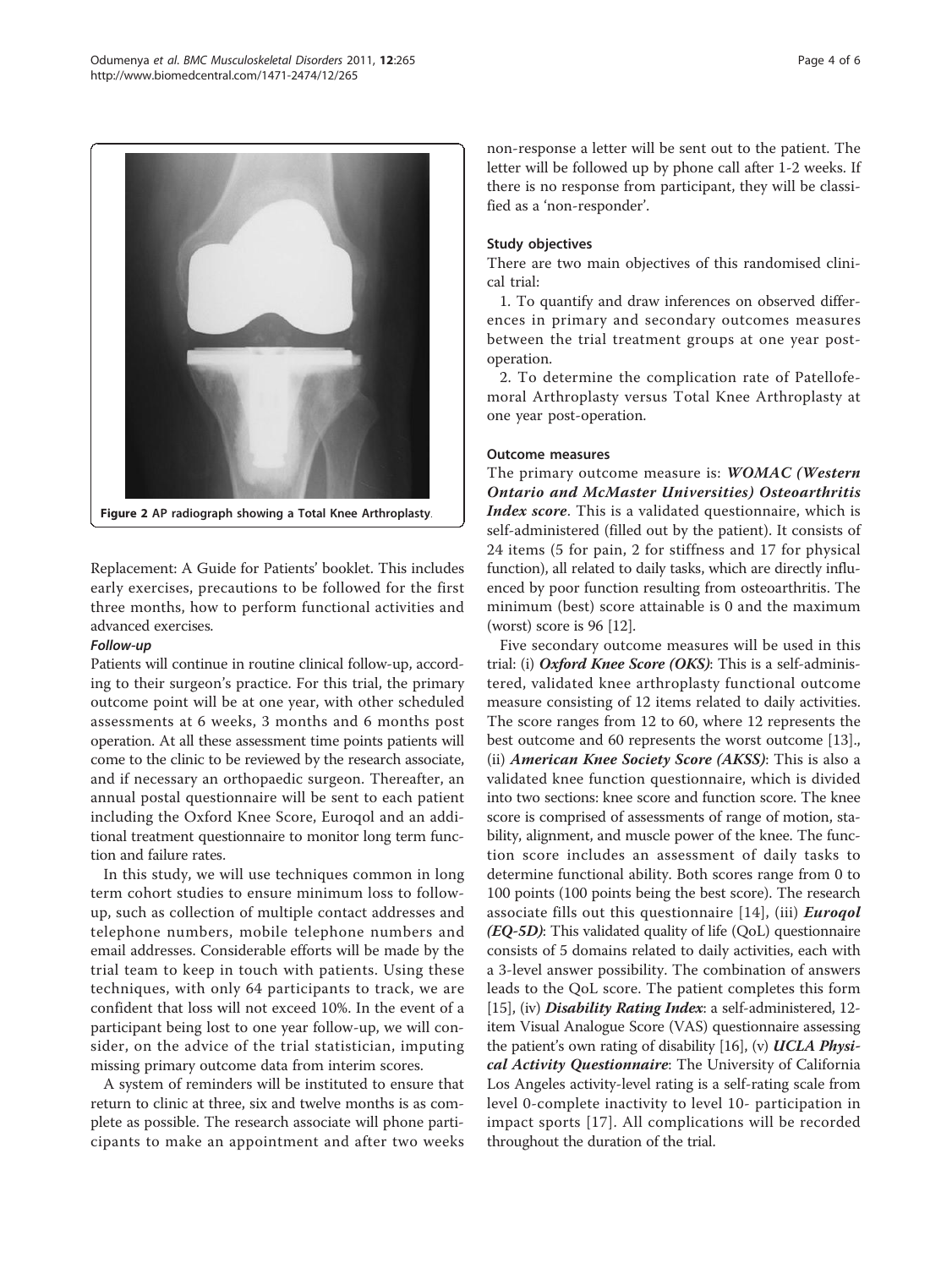<span id="page-4-0"></span>

Replacement: A Guide for Patients' booklet. This includes early exercises, precautions to be followed for the first three months, how to perform functional activities and advanced exercises.

#### Follow-up

Patients will continue in routine clinical follow-up, according to their surgeon's practice. For this trial, the primary outcome point will be at one year, with other scheduled assessments at 6 weeks, 3 months and 6 months post operation. At all these assessment time points patients will come to the clinic to be reviewed by the research associate, and if necessary an orthopaedic surgeon. Thereafter, an annual postal questionnaire will be sent to each patient including the Oxford Knee Score, Euroqol and an additional treatment questionnaire to monitor long term function and failure rates.

In this study, we will use techniques common in long term cohort studies to ensure minimum loss to followup, such as collection of multiple contact addresses and telephone numbers, mobile telephone numbers and email addresses. Considerable efforts will be made by the trial team to keep in touch with patients. Using these techniques, with only 64 participants to track, we are confident that loss will not exceed 10%. In the event of a participant being lost to one year follow-up, we will consider, on the advice of the trial statistician, imputing missing primary outcome data from interim scores.

A system of reminders will be instituted to ensure that return to clinic at three, six and twelve months is as complete as possible. The research associate will phone participants to make an appointment and after two weeks non-response a letter will be sent out to the patient. The letter will be followed up by phone call after 1-2 weeks. If there is no response from participant, they will be classified as a 'non-responder'.

## Study objectives

There are two main objectives of this randomised clinical trial:

1. To quantify and draw inferences on observed differences in primary and secondary outcomes measures between the trial treatment groups at one year postoperation.

2. To determine the complication rate of Patellofemoral Arthroplasty versus Total Knee Arthroplasty at one year post-operation.

## Outcome measures

The primary outcome measure is: **WOMAC** (Western Ontario and McMaster Universities) Osteoarthritis Index score. This is a validated questionnaire, which is self-administered (filled out by the patient). It consists of 24 items (5 for pain, 2 for stiffness and 17 for physical function), all related to daily tasks, which are directly influenced by poor function resulting from osteoarthritis. The minimum (best) score attainable is 0 and the maximum (worst) score is 96 [\[12\]](#page-6-0).

Five secondary outcome measures will be used in this trial: (i) Oxford Knee Score (OKS): This is a self-administered, validated knee arthroplasty functional outcome measure consisting of 12 items related to daily activities. The score ranges from 12 to 60, where 12 represents the best outcome and 60 represents the worst outcome [\[13](#page-6-0)]., (ii) American Knee Society Score (AKSS): This is also a validated knee function questionnaire, which is divided into two sections: knee score and function score. The knee score is comprised of assessments of range of motion, stability, alignment, and muscle power of the knee. The function score includes an assessment of daily tasks to determine functional ability. Both scores range from 0 to 100 points (100 points being the best score). The research associate fills out this questionnaire  $[14]$  $[14]$ , (iii) *Euroqol*  $(EQ-5D)$ : This validated quality of life  $(QoL)$  questionnaire consists of 5 domains related to daily activities, each with a 3-level answer possibility. The combination of answers leads to the QoL score. The patient completes this form [[15](#page-6-0)], (iv) Disability Rating Index: a self-administered, 12item Visual Analogue Score (VAS) questionnaire assessing the patient's own rating of disability  $[16]$ , (v) **UCLA Physi**cal Activity Questionnaire: The University of California Los Angeles activity-level rating is a self-rating scale from level 0-complete inactivity to level 10- participation in impact sports [[17\]](#page-6-0). All complications will be recorded throughout the duration of the trial.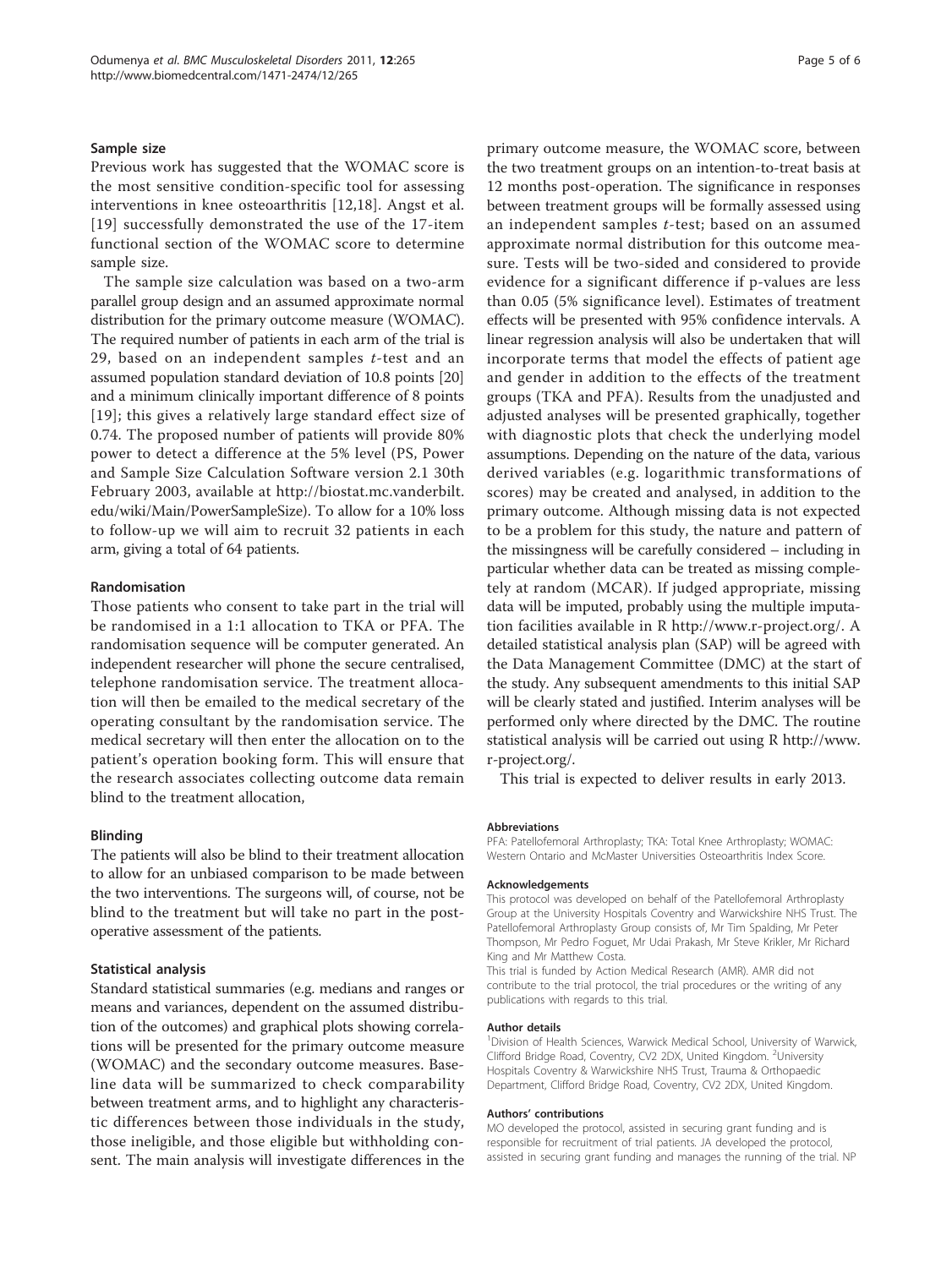#### Sample size

Previous work has suggested that the WOMAC score is the most sensitive condition-specific tool for assessing interventions in knee osteoarthritis [[12,18](#page-6-0)]. Angst et al. [[19](#page-6-0)] successfully demonstrated the use of the 17-item functional section of the WOMAC score to determine sample size.

The sample size calculation was based on a two-arm parallel group design and an assumed approximate normal distribution for the primary outcome measure (WOMAC). The required number of patients in each arm of the trial is 29, based on an independent samples  $t$ -test and an assumed population standard deviation of 10.8 points [[20](#page-6-0)] and a minimum clinically important difference of 8 points [[19](#page-6-0)]; this gives a relatively large standard effect size of 0.74. The proposed number of patients will provide 80% power to detect a difference at the 5% level (PS, Power and Sample Size Calculation Software version 2.1 30th February 2003, available at [http://biostat.mc.vanderbilt.](http://biostat.mc.vanderbilt.edu/wiki/Main/PowerSampleSize) [edu/wiki/Main/PowerSampleSize](http://biostat.mc.vanderbilt.edu/wiki/Main/PowerSampleSize)). To allow for a 10% loss to follow-up we will aim to recruit 32 patients in each arm, giving a total of 64 patients.

#### Randomisation

Those patients who consent to take part in the trial will be randomised in a 1:1 allocation to TKA or PFA. The randomisation sequence will be computer generated. An independent researcher will phone the secure centralised, telephone randomisation service. The treatment allocation will then be emailed to the medical secretary of the operating consultant by the randomisation service. The medical secretary will then enter the allocation on to the patient's operation booking form. This will ensure that the research associates collecting outcome data remain blind to the treatment allocation,

#### Blinding

The patients will also be blind to their treatment allocation to allow for an unbiased comparison to be made between the two interventions. The surgeons will, of course, not be blind to the treatment but will take no part in the postoperative assessment of the patients.

#### Statistical analysis

Standard statistical summaries (e.g. medians and ranges or means and variances, dependent on the assumed distribution of the outcomes) and graphical plots showing correlations will be presented for the primary outcome measure (WOMAC) and the secondary outcome measures. Baseline data will be summarized to check comparability between treatment arms, and to highlight any characteristic differences between those individuals in the study, those ineligible, and those eligible but withholding consent. The main analysis will investigate differences in the

primary outcome measure, the WOMAC score, between the two treatment groups on an intention-to-treat basis at 12 months post-operation. The significance in responses between treatment groups will be formally assessed using an independent samples t-test; based on an assumed approximate normal distribution for this outcome measure. Tests will be two-sided and considered to provide evidence for a significant difference if p-values are less than 0.05 (5% significance level). Estimates of treatment effects will be presented with 95% confidence intervals. A linear regression analysis will also be undertaken that will incorporate terms that model the effects of patient age and gender in addition to the effects of the treatment groups (TKA and PFA). Results from the unadjusted and adjusted analyses will be presented graphically, together with diagnostic plots that check the underlying model assumptions. Depending on the nature of the data, various derived variables (e.g. logarithmic transformations of scores) may be created and analysed, in addition to the primary outcome. Although missing data is not expected to be a problem for this study, the nature and pattern of the missingness will be carefully considered – including in particular whether data can be treated as missing completely at random (MCAR). If judged appropriate, missing data will be imputed, probably using the multiple imputation facilities available in R<http://www.r-project.org/>. A detailed statistical analysis plan (SAP) will be agreed with the Data Management Committee (DMC) at the start of the study. Any subsequent amendments to this initial SAP will be clearly stated and justified. Interim analyses will be performed only where directed by the DMC. The routine statistical analysis will be carried out using R [http://www.](http://www.r-project.org/) [r-project.org/.](http://www.r-project.org/)

This trial is expected to deliver results in early 2013.

#### Abbreviations

PFA: Patellofemoral Arthroplasty; TKA: Total Knee Arthroplasty; WOMAC: Western Ontario and McMaster Universities Osteoarthritis Index Score.

#### Acknowledgements

This protocol was developed on behalf of the Patellofemoral Arthroplasty Group at the University Hospitals Coventry and Warwickshire NHS Trust. The Patellofemoral Arthroplasty Group consists of, Mr Tim Spalding, Mr Peter Thompson, Mr Pedro Foguet, Mr Udai Prakash, Mr Steve Krikler, Mr Richard King and Mr Matthew Costa.

This trial is funded by Action Medical Research (AMR). AMR did not contribute to the trial protocol, the trial procedures or the writing of any publications with regards to this trial.

#### Author details

<sup>1</sup> Division of Health Sciences, Warwick Medical School, University of Warwick Clifford Bridge Road, Coventry, CV2 2DX, United Kingdom. <sup>2</sup>University Hospitals Coventry & Warwickshire NHS Trust, Trauma & Orthopaedic Department, Clifford Bridge Road, Coventry, CV2 2DX, United Kingdom.

#### Authors' contributions

MO developed the protocol, assisted in securing grant funding and is responsible for recruitment of trial patients. JA developed the protocol, assisted in securing grant funding and manages the running of the trial. NP